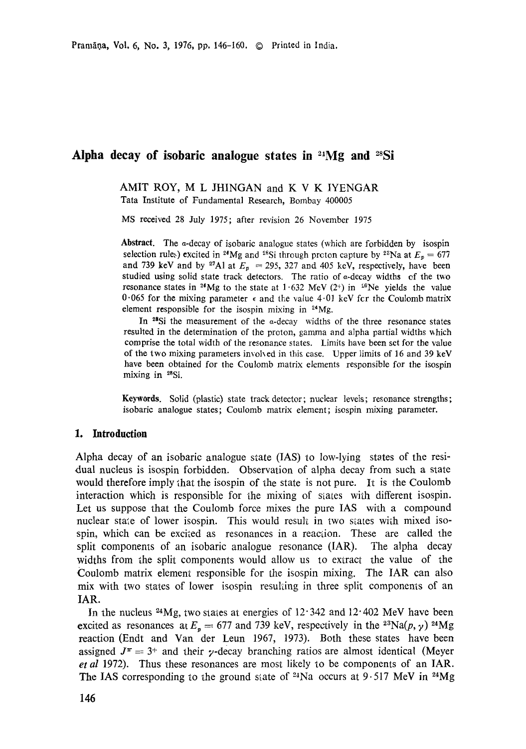# **Alpha decay of isobaric analogue states in 2~Mg and ~sSi**

AMIT ROY, M L JHINGAN and K V K IYENGAR Tata Institute of Fundamental Research, Bombay 400005

MS received 28 July 1975; after revision 26 November 1975

**Abstract.** The a-decay of isobaric analogue states (which are forbidden by isospin selection rules) excited in <sup>24</sup>Mg and <sup>28</sup>Si through proton capture by <sup>23</sup>Na at  $E_p = 677$ and 739 keV and by <sup>27</sup>A1 at  $E_p$  = 295, 327 and 405 keV, respectively, have been studied using solid state track detectors. The ratio of a-decay widths cf the two resonance states in <sup>24</sup>Mg to the state at 1.632 MeV (2<sup>+</sup>) in <sup>20</sup>Ne yields the value 0.065 for the mixing parameter  $\epsilon$  and the value 4.01 keV fcr the Coulomb matrix element responsible for the isospin mixing in  $24$ Mg.

In  $28Si$  the measurement of the  $\alpha$ -decay widths of the three resonance states resulted in the determination of the proton, gamma and alpha partial widths which comprise the total width of the resonance states. Limits have been set for the value of the two mixing parameters invohed in this case. Upper limits of 16 and 39 keV have been obtained for the Coulomb matrix elements responsible for the isospin mixing in 28Si.

**Keywords.** Solid (plastic) state track detector; nuclear leveis; resonance strengths; isobaric analogue states; Coulomb matrix element; isospin mixing parameter.

### **1. Introduction**

Alpha decay of an isobaric analogue state (IAS) to low-lying states of the residual nucleus is isospin forbidden. Observation of alpha decay from such a state would therefore imply  $\chi$  that the isospin of the state is not pure. It is the Coulomb interaction which is responsible for the mixing of states with different isospin. Let us suppose that the Coulomb force mixes the pure IAS with a compound nuclear state of lower isospin. This would result in two states with mixed isospin, which can be excited as resonances in a reaction. These are called 1he split components of an isobaric analogue resonance (IAR). The alpha decay widths from the split components would allow us to extract the value of the Coulomb matrix element responsible for the isospin mixing. The IAR can also mix with two states of lower isospin resuking in three split components of an IAR.

In the nucleus  $24Mg$ , two states at energies of  $12.342$  and  $12.402$  MeV have been excited as resonances at  $E_p = 677$  and 739 keV, respectively in the <sup>23</sup>Na(p,  $\gamma$ ) <sup>24</sup>Mg reaction (Endt and Van der Leun 1967, 1973). Both these states have been assigned  $J^{\pi} = 3^{+}$  and their y-decay branching ratios are almost identical (Meyer *et al* 1972). Thus these resonances are most likely to be components of an IAR. The IAS corresponding to the ground state of <sup>24</sup>Na occurs at  $9.517$  MeV in <sup>24</sup>Mg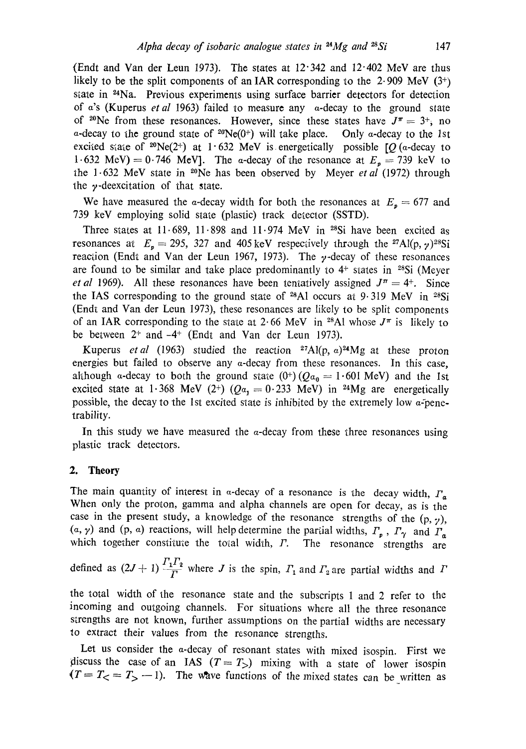(Endt and Van der Leun 1973). The states at  $12.342$  and  $12.402$  MeV are thus likely to be the split components of an IAR corresponding to the  $2.909$  MeV (3+) state in <sup>24</sup>Na. Previous experiments using surface barrier detectors for detection of a's (Kuperus *et al* 1963) failed to measure any a-decay to the ground state of <sup>20</sup>Ne from these resonances. However, since these states have  $J^{\pi} = 3^{+}$ , no a-decay to the ground state of  $2^{\circ}Ne(0^+)$  will take place. Only a-decay to the 1st excited state of <sup>20</sup>Ne(2<sup>+</sup>) at 1.632 MeV is energetically possible  $[Q]$  (*a*-decay to 1.632 MeV) = 0.746 MeV]. The a-decay of the resonance at  $E_a = 739$  keV to ~he 1-632 MeV state in 2°Ne has been observed by Meyer *etal* (1972) through the  $\nu$ -deexcitation of that state.

We have measured the a-decay width for both the resonances at  $E_p = 677$  and 739 keV employing solid state (plastic) track detector (SSTD).

Three states at  $11.689$ ,  $11.898$  and  $11.974$  MeV in <sup>28</sup>Si have been excited as resonances at  $E_p=295$ , 327 and 405 keV respectively through the <sup>27</sup>Al(p,  $\gamma$ )<sup>28</sup>Si reaction (Endt and Van der Leun 1967, 1973). The  $y$ -decay of these resonances are found to be similar and take place predominantly to  $4$ <sup>+</sup> states in <sup>28</sup>Si (Meyer *et al* 1969). All these resonances have been tentatively assigned  $J^{\pi} = 4^{+}$ . Since the IAS corresponding to the ground state of  $^{28}\text{Al}$  occurs at 9.319 MeV in  $^{28}\text{Si}$ (Endt and Van der Leun 1973), these resonances are likely to be split components of an IAR corresponding to the state at 2.66 MeV in <sup>28</sup>Al whose  $J^{\pi}$  is likely to be between  $2^+$  and  $-4^+$  (Endt and Van der Leun 1973).

Kuperus *et al* (1963) studied the reaction <sup>27</sup>Al(p,  $a$ )<sup>24</sup>Mg at these proton energies but failed to observe any  $\alpha$ -decay from these resonances. In this case, ahhough a-decay to both the ground state  $(0^+)(Qa_0 = 1.601 \text{ MeV})$  and the 1st excited state at 1.368 MeV (2+) ( $Qa_1 = 0.233$  MeV) in <sup>24</sup>Mg are energetically possible, the decay to the 1st excited state is inhibited by the extremely low  $\alpha$ -penetrability.

In this study we have measured the  $\alpha$ -decay from these three resonances using plastic track detectors.

### **2. Theory**

The main quantity of interest in  $\alpha$ -decay of a resonance is the decay width,  $\Gamma_{\alpha}$ When only the proton, gamma and alpha channels are open for decay, as is the case in the present study, a knowledge of the resonance strengths of the  $(p, \gamma)$ ,  $(a, \gamma)$  and  $(p, a)$  reactions, will help determine the partial widths,  $\Gamma_p$ ,  $\Gamma_\gamma$  and  $\Gamma_a$ which together constitute the total width,  $\Gamma$ . The resonance strengths are

defined as  $(2J + 1)\frac{\Gamma_1\Gamma_2}{\Gamma}$  where J is the spin,  $\Gamma_1$  and  $\Gamma_2$  are partial widths and  $\Gamma$ 

the total width of the resonance state and the subscripts 1 and 2 refer to the incoming and outgoing channels. For situations where all the three resonance strenghs are not known, further assumptions on the partial widths are necessary to extract their values from the resonance strengths.

Let us consider the a-decay of resonant states with mixed isospin. First we discuss the case of an IAS  $(T = T_>)$  mixing with a state of lower isospin  $(T = T<sub>0</sub> = T<sub>0</sub> - 1)$ . The wave functions of the mixed states can be written as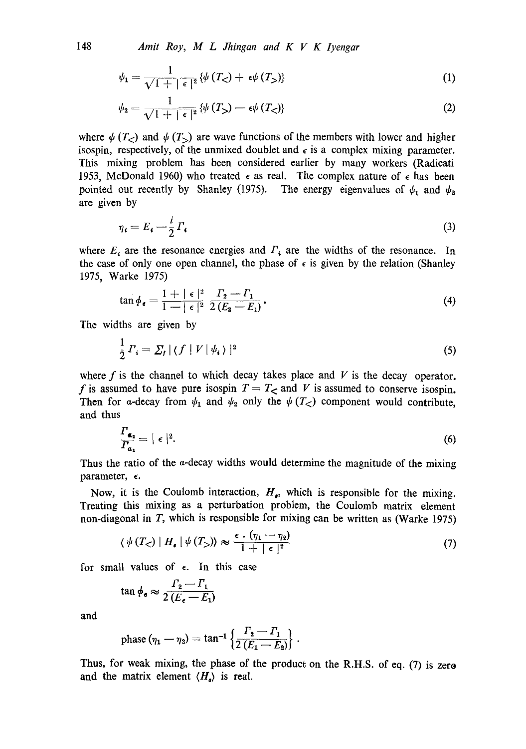148 *Amit Roy, M L Jhingan and K V K Iyengar* 

$$
\psi_1 = \frac{1}{\sqrt{1+|\epsilon|^2}} \left\{ \psi\left(T_<\right) + \epsilon \psi\left(T_>\right) \right\} \tag{1}
$$

$$
\psi_2 = \frac{1}{\sqrt{1+|\epsilon|^2}} \left\{ \psi(T_>) - \epsilon \psi(T_>) \right\} \tag{2}
$$

where  $\psi(T_{\leq})$  and  $\psi(T_{\leq})$  are wave functions of the members with lower and higher isospin, respectively, of the unmixed doublet and  $\epsilon$  is a complex mixing parameter. This mixing problem has been considered earlier by many workers (Radicati 1953, McDonald 1960) who treated  $\epsilon$  as real. The complex nature of  $\epsilon$  has been pointed out recently by Shanley (1975). The energy eigenvalues of  $\psi_1$  and  $\psi_2$ are given by

$$
\eta_i = E_i - \frac{i}{2} \Gamma_i \tag{3}
$$

where  $E_i$  are the resonance energies and  $\Gamma_i$  are the widths of the resonance. In the case of only one open channel, the phase of  $\epsilon$  is given by the relation (Shanley 1975, Warke 1975)

$$
\tan \phi_e = \frac{1 + |\epsilon|^2}{1 - |\epsilon|^2} \frac{\Gamma_2 - \Gamma_1}{2(E_2 - E_1)}.
$$
\n(4)

The widths are given by

$$
\frac{1}{2}\Gamma_i = \sum_I |\langle f | V | \psi_i \rangle|^2 \tag{5}
$$

where f is the channel to which decay takes place and V is the decay operator. f is assumed to have pure isospin  $T = T<sub>0</sub>$  and V is assumed to conserve isospin. Then for a-decay from  $\psi_1$  and  $\psi_2$  only the  $\psi(T_<)$  component would contribute, and thus

$$
\frac{\Gamma_{\alpha_1}}{\Gamma_{\alpha_1}} = |\epsilon|^2. \tag{6}
$$

Thus the ratio of the  $\alpha$ -decay widths would determine the magnitude of the mixing parameter,  $\epsilon$ .

Now, it is the Coulomb interaction,  $H_e$ , which is responsible for the mixing. Treating this mixing as a perturbation problem, the Coulomb matrix element non-diagonal in  $T$ , which is responsible for mixing can be written as (Warke 1975)

$$
\langle \psi(T_{\leq}) | H_{\bullet} | \psi(T_{>}) \rangle \approx \frac{\epsilon \cdot (\eta_1 - \eta_2)}{1 + |\epsilon|^2}
$$
 (7)

for small values of  $\epsilon$ . In this case

$$
\tan \phi_{\bullet} \approx \frac{\Gamma_2 - \Gamma_1}{2\left(E_{\epsilon} - E_1\right)}
$$

and

phase 
$$
(\eta_1 - \eta_2) = \tan^{-1} \left\{ \frac{\Gamma_2 - \Gamma_1}{2 (E_1 - E_2)} \right\}.
$$

Thus, for weak mixing, the phase of the product on the R.H.S. of eq. (7) is zero and the matrix element  $\langle H_{\alpha} \rangle$  is real.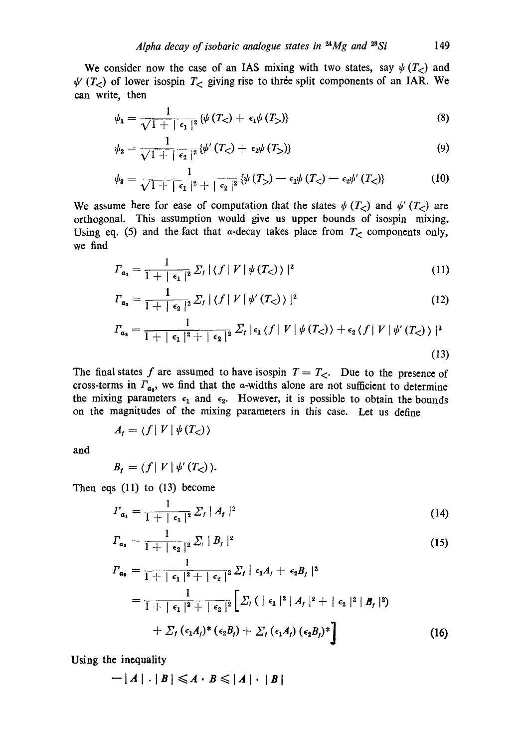We consider now the case of an IAS mixing with two states, say  $\psi(T_{\leq})$  and  $\psi'$  (T<sub><</sub>) of lower isospin T<sub><</sub> giving rise to three split components of an IAR. We can write, then

$$
\psi_1 = \frac{1}{\sqrt{1+|\epsilon_1|^2}} \{\psi(T_<) + \epsilon_1 \psi(T_>)\}
$$
\n(8)

$$
\psi_2 = \frac{1}{\sqrt{1+|\epsilon_2|^2}} \left\{ \psi'(T_<) + \epsilon_2 \psi(T_>) \right\} \tag{9}
$$

$$
\psi_3 = \frac{1}{\sqrt{1 + \left[\epsilon_1\right]^2 + \left[\epsilon_2\right]^2}} \left\{ \psi\left(T_{>}\right) - \epsilon_1 \psi\left(T_{<}\right) - \epsilon_2 \psi'\left(T_{<}\right) \right\} \tag{10}
$$

We assume here for ease of computation that the states  $\psi(T_{\leq})$  and  $\psi'(T_{\leq})$  are orthogonal. This assumption would give us upper bounds of isospin mixing. Using eq. (5) and the fact that  $\alpha$ -decay takes place from  $T<sub>5</sub>$  components only, we find

$$
\Gamma_{a_1} = \frac{1}{1+|\epsilon_1|^2} \sum_I |\langle f | V | \psi(T_{\leq}) \rangle|^2 \tag{11}
$$

$$
\Gamma_{\mathfrak{a}_2} = \frac{1}{1+|\epsilon_2|^2} \sum_f |\langle f | V | \psi'(T_<) \rangle|^2 \tag{12}
$$

$$
\Gamma_{a_3} = \frac{1}{1+|\epsilon_1|^2+|\epsilon_2|^2} \sum_f |\epsilon_1 \langle f | V | \psi(T_{<}) \rangle + \epsilon_2 \langle f | V | \psi'(T_{<}) \rangle |^2
$$
\n(13)

The final states f are assumed to have isospin  $T = T_{\leq}$ . Due to the presence of cross-terms in  $\Gamma_{a_3}$ , we find that the a-widths alone are not sufficient to determine the mixing parameters  $\epsilon_1$  and  $\epsilon_2$ . However, it is possible to obtain the bounds on the magnitudes of the mixing parameters in this case. Let us define

$$
A_t = \langle f | V | \psi(T_{\leq}) \rangle
$$

and

$$
B_f = \langle f | V | \psi'(T_{\leq}) \rangle.
$$

Then eqs (11) to (13) become

$$
T_{\mathfrak{a}_1} = \frac{1}{1+|\epsilon_1|^2} \sum_I |A_I|^2 \tag{14}
$$

$$
\Gamma_{a_2} = \frac{1}{1 + |\epsilon_2|^2} \sum_j |B_j|^2 \tag{15}
$$

$$
T_{a_3} = \frac{1}{1+|\epsilon_1|^2 + |\epsilon_2|^2} \sum_f |\epsilon_1 A_f + \epsilon_2 B_f|^2
$$
  
= 
$$
\frac{1}{1+|\epsilon_1|^2 + |\epsilon_2|^2} \Big[ \sum_f (|\epsilon_1|^2 |A_f|^2 + |\epsilon_2|^2 |B_f|^2) + \sum_f (\epsilon_1 A_f)^* (\epsilon_2 B_f)^* \Big]
$$
(16)

Using the inequality

$$
-|A| \cdot |B| \leqslant A \cdot B \leqslant |A| \cdot |B|
$$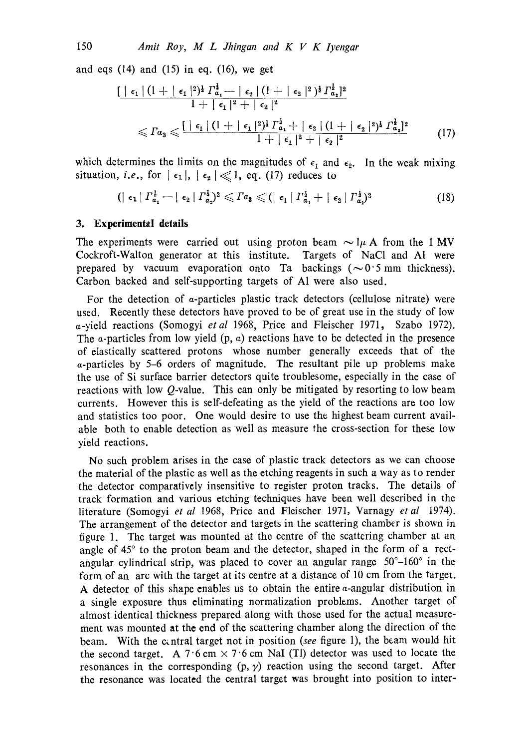and eqs  $(14)$  and  $(15)$  in eq.  $(16)$ , we get

$$
\frac{\left[ \left| \epsilon_1 \right| (1 + |\epsilon_1|^2)^{\frac{1}{2}} \Gamma_{\alpha_1}^{\frac{1}{2}} - |\epsilon_2| (1 + |\epsilon_2|^2)^{\frac{1}{2}} \Gamma_{\alpha_1}^{\frac{1}{2}} \right]^{2}}{1 + |\epsilon_1|^2 + |\epsilon_2|^2}
$$
\n
$$
\leqslant \Gamma_{\alpha_3} \leqslant \frac{\left[ |\epsilon_1| (1 + |\epsilon_1|^2)^{\frac{1}{2}} \Gamma_{\alpha_1}^{\frac{1}{2}} + |\epsilon_2| (1 + |\epsilon_2|^2)^{\frac{1}{2}} \Gamma_{\alpha_2}^{\frac{1}{2}} \right]^{2}}{1 + |\epsilon_1|^2 + |\epsilon_2|^2} \tag{17}
$$

which determines the limits on the magnitudes of  $\epsilon_1$  and  $\epsilon_2$ . In the weak mixing situation, *i.e.*, for  $|\epsilon_1|, |\epsilon_2| \ll 1$ , eq. (17) reduces to

$$
(|\epsilon_1| \Gamma_{\alpha_1}^{\frac{1}{2}} - |\epsilon_2| \Gamma_{\alpha_2}^{\frac{1}{2}})^2 \leqslant \Gamma_{\alpha_3} \leqslant (|\epsilon_1| \Gamma_{\alpha_1}^{\frac{1}{2}} + |\epsilon_2| \Gamma_{\alpha_2}^{\frac{1}{2}})^2 \tag{18}
$$

### **3. Experimental details**

The experiments were carried out using proton beam  $\sim 1\mu$  A from the 1 MV Cockroft-Walton generator at this institute. Targets of NaC1 and AI were prepared by vacuum evaporation onto Ta backings  $(\sim 0.5 \text{ mm}$  thickness). Carbon backed and self-supporting targets of A1 were also used.

For the detection of a-particles plastic track detectors (cellulose nitrate) were used. Recently these detectors have proved to be of great use in the study of low a-yield reactions (Somogyi *etal* 1968, Price and Fleischer 1971, Szabo 1972). The a-particles from low yield  $(p, a)$  reactions have to be detected in the presence of elastically scattered protons whose number generally exceeds that of the  $\alpha$ -particles by 5–6 orders of magnitude. The resultant pile up problems make the use of Si surface barrier detectors quite troublesome, especially in the case of reactions with low  $Q$ -value. This can only be mitigated by resorting to low beam currents. However this is self-defeating as the yield of the reactions are too low and statistics too poor. One would desire to use the highest beam current available both to enable detection as well as measure the cross-section for these low yield reactions.

No such problem arises in the case of plastic track detectors as we can choose the material of the plastic as well as the etching reagents in such a way as to render the detector comparatively insensitive to register proton tracks. The details of track formation and various etching techniques have been well described in the literature (Somogyi *et al* 1968, Price and Fleischer 1971, Varnagy *etal* 1974). The arrangement of the detector and targets in the scattering chamber is shown in figure 1. The target was mounted at the centre of the scattering chamber at an angle of 45° to the proton beam and the detector, shaped in the form of a rectangular cylindrical strip, was placed to cover an angular range  $50^{\circ}-160^{\circ}$  in the form of an arc with the target at its centre at a distance of 10 cm from the target. A detector of this shape enables us to obtain the entire a-angular distribution in a single exposure thus eliminating normalization problems. Another target of almost identical thickness prepared along with those used for the actual measurement was mounted at the end of the scattering chamber along the direction of the beam. With the c~ntral target not in position *(see* figure 1), the beam would hit the second target. A  $7.6 \text{ cm} \times 7.6 \text{ cm}$  NaI (Tl) detector was used to locate the resonances in the corresponding  $(p, \gamma)$  reaction using the second target. After **the** resonance was located the central target was brought into position to **inter-**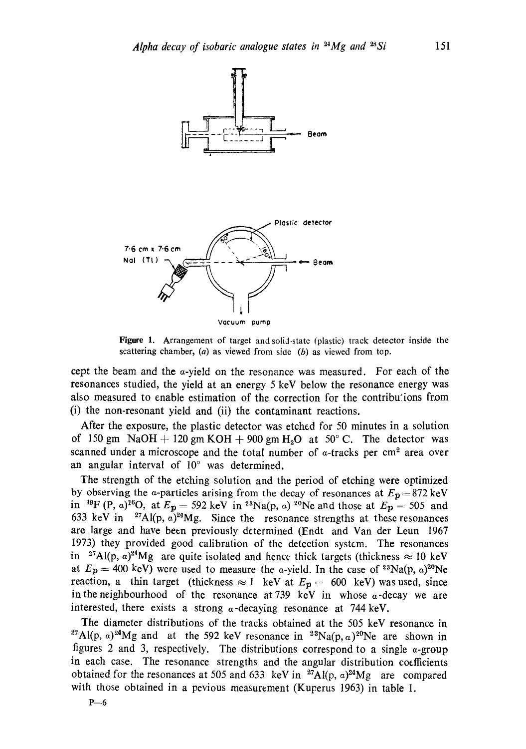

Figure 1. Arrangement of target and solid-state (plastic) track detector inside the scattering chamber,  $(a)$  as viewed from side  $(b)$  as viewed from top.

cept the beam and the  $\alpha$ -yield on the resonance was measured. For each of the resonances studied, the yield at an energy 5 keV below the resonance energy was also measured to enable estimation of the correction for the contributions from (i) the non-resonant yield and (ii) the contaminant reactions.

After the exposure, the plastic detector was etched for 50 minutes in a solution of 150 gm NaOH + 120 gm KOH + 900 gm H<sub>2</sub>O at 50°C. The detector was scanned under a microscope and the total number of  $\alpha$ -tracks per cm<sup>2</sup> area over an angular interval of  $10^{\circ}$  was determined.

The strength of the etching solution and the period of etching were optimized by observing the a-particles arising from the decay of resonances at  $E_p = 872 \text{ keV}$ in <sup>19</sup>F (P, a)<sup>16</sup>O, at  $E_p = 592$  keV in <sup>23</sup>Na(p, a) <sup>20</sup>Ne and those at  $E_p = 505$  and 633 keV in <sup>27</sup>Al(p,  $\alpha$ )<sup>24</sup>Mg. Since the resonance strengths at these resonances are large and have been previously determined (Endt and Van der Leun 1967 1973) they provided good calibration of the detection system. The resonances in <sup>27</sup>Al(p,  $\alpha$ )<sup>24</sup>Mg are quite isolated and hence thick targets (thickness  $\approx 10$  keV at  $E_p = 400$  keV) were used to measure the a-yield. In the case of <sup>23</sup>Na(p,  $\alpha$ )<sup>20</sup>Ne reaction, a thin target (thickness  $\approx 1$  keV at  $E_p = 600$  keV) was used, since in the neighbourhood of the resonance at 739 keV in whose  $\alpha$ -decay we are interested, there exists a strong  $\alpha$ -decaying resonance at 744 keV.

The diameter distributions of the tracks obtained at the 505 keV resonance in <sup>27</sup>Al(p, a)<sup>24</sup>Mg and at the 592 keV resonance in <sup>23</sup>Na(p, a)<sup>20</sup>Ne are shown in figures 2 and 3, respectively. The distributions correspond to a single  $\alpha$ -group in each case. The resonance strengths and the angular distribution coefficients obtained for the resonances at 505 and 633 keV in  $^{27}$ Al(p, a)<sup>24</sup>Mg are compared with those obtained in a pevious measurement (Kuperus 1963) in table 1.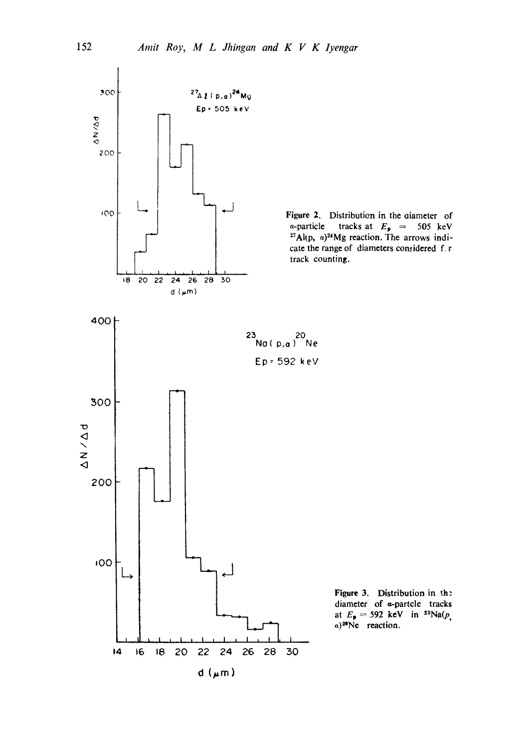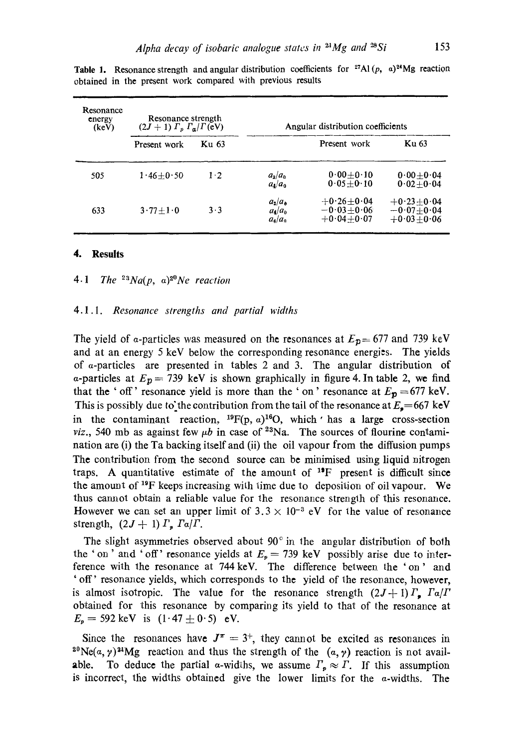| Resonance<br>energy<br>(keV) | Resonance strength<br>$(2J+1) \Gamma_p \Gamma_a/\Gamma_b$ (eV) |       | Angular distribution coefficients         |                                                    |                                                    |  |  |
|------------------------------|----------------------------------------------------------------|-------|-------------------------------------------|----------------------------------------------------|----------------------------------------------------|--|--|
|                              | Present work                                                   | Ku 63 |                                           | Present work                                       | <b>Ku 63</b>                                       |  |  |
| 505                          | $1.46 + 0.50$                                                  | $1-2$ | $a_2/a_0$<br>$a_4/a_0$                    | $0.00 + 0.10$<br>$0.05 + 0.10$                     | $0.00 + 0.04$<br>$0.02 + 0.04$                     |  |  |
| 633                          | $3\cdot77+1\cdot0$                                             | $3-3$ | $a_2/a_0$<br>$a_4/a_0$<br>$a_{\rm s}/a_0$ | $+0.26 + 0.04$<br>$-0.03 + 0.06$<br>$+0.04 + 0.07$ | $+0.23 + 0.04$<br>$-0.07 + 0.04$<br>$+0.03 + 0.06$ |  |  |

Table 1. Resonance strength and angular distribution coefficients for <sup>27</sup>A1 (p, a)<sup>24</sup>Mg reaction obtained in the present work compared with previous results

#### **4. Results**

4.1 The  $2^3Na(p, a)^{2^0}Ne$  reaction

### 4.1.1. *Resonance strengths and partial widths*

The yield of a-particles was measured on the resonances at  $E_{p}=677$  and 739 keV and at an energy 5 keV below the corresponding resonance energies. The yields of a-particles are presented in tables 2 and 3. The angular distribution of a-particles at  $E_p = 739$  keV is shown graphically in figure 4. In table 2, we find that the ' off' resonance yield is more than the ' on' resonance at  $E_p = 677$  keV. This is possibly due to the contribution from the tail of the resonance at  $E_*=667 \text{ keV}$ in the contaminant reaction,  $^{19}F(p, a)^{16}O$ , which ' has a large cross-section *viz.*, 540 mb as against few  $\mu b$  in case of <sup>23</sup>Na. The sources of flourine contamination are (i) the Ta backing itself and (ii) the oil vapour from the diffusion pumps The contribution from the second source can be minimised using liquid nitrogen traps. A quantitative estimate of the amount of  $1^{\circ}F$  present is difficult since the amount of  $^{19}$ F keeps increasing with time due to deposition of oil vapour. We thus cannot obtain a reliable value for the resonance strength of this resonance. However we can set an upper limit of  $3.3 \times 10^{-3}$  eV for the value of resonance strength,  $(2J + 1) \Gamma_p \Gamma a / \Gamma$ .

The slight asymmetries observed about  $90^\circ$  in the angular distribution of both the ' on ' and ' off' resonance yields at  $E_p = 739$  keV possibly arise due to interference with the resonance at 744 keV. The difference between the 'on' and ' off' resonance yields, which corresponds to the yield of the resonance, however, is almost isotropic. The value for the resonance strength  $(2J+1)T_p$ ,  $Ta/T$ obtained for this resonance by comparing its yield to that of the resonance at  $E_p = 592 \text{ keV}$  is  $(1.47 \pm 0.5)$  eV.

Since the resonances have  $J^{\pi} = 3^{+}$ , they cannot be excited as resonances in <sup>20</sup>Ne(a,  $\gamma$ )<sup>21</sup>Mg reaction and thus the strength of the  $(a, \gamma)$  reaction is not available. To deduce the partial a-widths, we assume  $\Gamma_p \approx \Gamma$ . If this assumption is incorrect, the widths obtained give the lower limits for the  $a$ -widths. The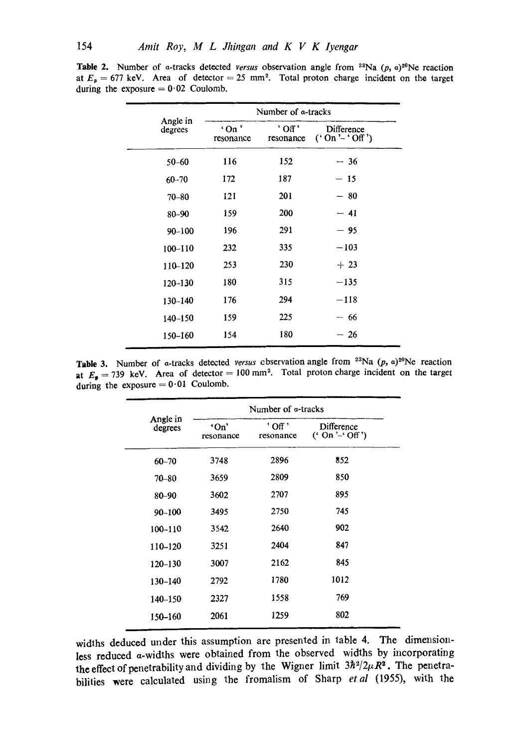| Number of a-tracks |                    |                             |  |  |  |
|--------------------|--------------------|-----------------------------|--|--|--|
| 'On'<br>resonance  | ' Off<br>resonance | Difference<br>$('On'-'Of')$ |  |  |  |
| 116                | 152                | $-36$                       |  |  |  |
| 172                | 187                | - 15                        |  |  |  |
| 121                | 201                | $-80$                       |  |  |  |
| 159                | 200                | $-41$                       |  |  |  |
| 196                | 291                | - 95                        |  |  |  |
| 232                | 335                | $-103$                      |  |  |  |
| 253                | 230                | $+23$                       |  |  |  |
| 180                | 315                | $-135$                      |  |  |  |
| 176                | 294                | $-118$                      |  |  |  |
| 159                | 225                | $-66$                       |  |  |  |
| 154                | 180                | 26<br>$\qquad \qquad$       |  |  |  |
|                    |                    |                             |  |  |  |

Table 2. Number of a-tracks detected *versus* observation angle from <sup>23</sup>Na  $(p, a)$ <sup>20</sup>Ne reaction at  $E_{p} = 677$  keV. Area of detector = 25 mm<sup>2</sup>. Total proton charge incident on the target during the exposure  $= 0.02$  Coulomb.

**Table 3.** Number of a-tracks detected *versus* cbservation angle from  $^{23}$ Na (p, a) $^{20}$ Ne reaction at  $E_p = 739$  keV. Area of detector = 100 mm<sup>2</sup>. Total proton charge incident on the target during the exposure  $= 0.01$  Coulomb.

|                     | Number of a-tracks |                      |                                |  |  |  |
|---------------------|--------------------|----------------------|--------------------------------|--|--|--|
| Angle in<br>degrees | 'On'<br>resonance  | ' Off '<br>resonance | Difference<br>(' On '-' Off ') |  |  |  |
| $60 - 70$           | 3748               | 2896                 | 852                            |  |  |  |
| $70 - 80$           | 3659               | 2809                 | 850                            |  |  |  |
| 80-90               | 3602               | 2707                 | 895                            |  |  |  |
| $90 - 100$          | 3495               | 2750                 | 745                            |  |  |  |
| $100 - 110$         | 3542               | 2640                 | 902                            |  |  |  |
| 110-120             | 3251               | 2404                 | 847                            |  |  |  |
| $120 - 130$         | 3007               | 2162                 | 845                            |  |  |  |
| $130 - 140$         | 2792               | 1780                 | 1012                           |  |  |  |
| 140-150             | 2327               | 1558                 | 769                            |  |  |  |
| 150-160             | 2061               | 1259                 | 802                            |  |  |  |
|                     |                    |                      |                                |  |  |  |

widths deduced under this assumption are presented in table 4. The dimensionless reduced a-widths were obtained from the observed widths by incorporating the effect of penetrability and dividing by the Wigner limit  $3\hbar^2/2\mu R^2$ . The penetrabilities were calculated using the fromalism of Sharp *etal* (1955), with the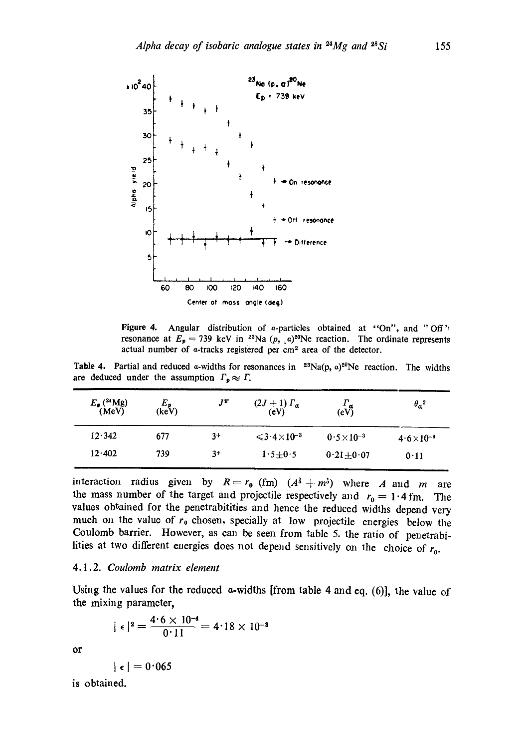

Figure 4. Angular distribution of  $\alpha$ -particles obtained at "On", and "Off" resonance at  $E_p = 739$  keV in <sup>23</sup>Na (p,  $\alpha$ )<sup>20</sup>Ne reaction. The ordinate represents actual number of a-tracks registered per cm<sup>2</sup> area of the detector.

Table 4. Partial and reduced a-widths for resonances in  $23Na(p, a)^{20}Ne$  reaction. The widths are deduced under the assumption  $\Gamma_p \approx \Gamma$ .

| $E_{\bullet}$ ( <sup>24</sup> Mg)<br>(MeV) | $\epsilon_{\rm (keV)}^{E_{\rm p}}$ | $J^{\pi}$ | $(2J+1) \Gamma_{\alpha}$<br>(cV)                  | $\frac{\Gamma_{\alpha}}{(\text{eV})}$ | $\theta_{\alpha}{}^2$ |
|--------------------------------------------|------------------------------------|-----------|---------------------------------------------------|---------------------------------------|-----------------------|
| 12.342                                     | 677                                | $3+$      | $\leqslant$ 3 $\cdot$ 4 $\times$ 10 <sup>-3</sup> | $0.5 \times 10^{-3}$                  | $4.6 \times 10^{-4}$  |
| 12.402                                     | 739                                | $3+$      | $1.5 + 0.5$                                       | $0.21 \pm 0.07$                       | 0.11                  |

interaction radius given by  $R = r_0$  (fm)  $(A^3 + m^3)$  where A and m are the mass number of the target and projectile respectively and  $r_0 = 1.4$  fm. The values obtained for the penetrabitities and hence the reduced widths depend very much on the value of  $r_0$  chosen, specially at low projectile energies below the Coulomb barrier. However, as can be seen from table 5. the ratio of penetrabilities at two different energies does not depend sensitively on the choice of  $r_0$ .

### *4.1.2. Coulomb matrix element*

Using the values for the reduced a-widths [from table 4 and eq. (6)], the value of the mixing parameter,

$$
|\epsilon|^2 = \frac{4.6 \times 10^{-4}}{0.11} = 4.18 \times 10^{-8}
$$

or

 $\vert \epsilon \vert = 0.065$ 

is obtained.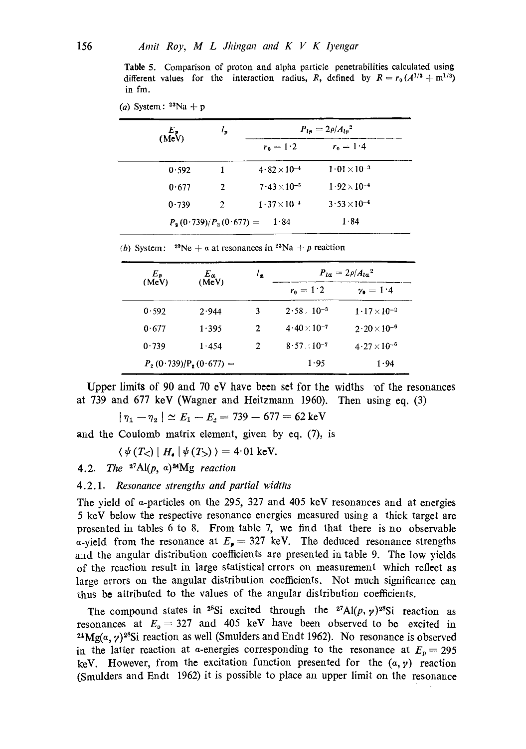Table 5. Comparison of proton and alpha particle penetrabilities calculated using different values for the interaction radius, R, defined by  $R = r_0 (A^{1/3} + m^{1/3})$ in fm.

(a) System:  $23Na + p$ 

| $\epsilon_{\text{MeV}}^{E_{\text{P}}}$ | ı, |                       | $P_{l\pi} = 2\rho / A_{l\pi}^{2}$ |  |
|----------------------------------------|----|-----------------------|-----------------------------------|--|
|                                        |    | $r_0 = 1.2$           | $r_0 = 1.4$                       |  |
| 0.592                                  |    | $4.82 \times 10^{-4}$ | $1.01 \times 10^{-3}$             |  |
| 0.677                                  | 2  | $7.43 \times 10^{-5}$ | $1.92 \times 10^{-4}$             |  |
| 0.739                                  | 2  | $1.37 \times 10^{-4}$ | $3.53 \times 10^{-4}$             |  |
| $P_a(0.739)/P_a(0.677) =$              |    | 1.84                  | 1.84                              |  |

(b) System:  $^{20}$ Ne + a at resonances in  $^{23}$ Na + p reaction

| $E_{\bm{v}}$ |       | $E_a$                     | $\iota_a$     | $P_{l\alpha} = 2\rho / A_{l\alpha}^2$ |                             |  |
|--------------|-------|---------------------------|---------------|---------------------------------------|-----------------------------|--|
| (MeV)        | (MeV) |                           | $r_{0} = 1.2$ | $y_0 = 1.4$                           |                             |  |
|              | 0.592 | 2.944                     | 3             | $2.58 \times 10^{-3}$                 | $1 \cdot 17 \times 10^{-2}$ |  |
|              | 0.677 | 1.395                     | 2             | $4.40\times10^{-7}$                   | $2.20\times10^{-6}$         |  |
|              | 0.739 | 1.454                     | 2             | $8.57 \times 10^{-7}$                 | $4.27 \times 10^{-6}$       |  |
|              |       | $P_2(0.739)/P_2(0.677) =$ |               | 1.95                                  | 1.94                        |  |
|              |       |                           |               |                                       |                             |  |

Upper limits of 90 and 70 eV have been set for the widths of the resonances at 739 and 677 keV (Wagner and Heitzmann 1960). Then using eq. (3)

 $|\eta_1 - \eta_2| \simeq E_1 - E_2 = 739 - 677 = 62 \text{ keV}$ 

and the Coulomb matrix element, given by eq. (7), is

 $\langle \psi(T_{\leq}) | H_{\bullet} | \psi(T_{>}) \rangle = 4.01 \text{ keV}.$ 

4.2. *The*  $^{27}$ Al(p, a) $^{24}$ Mg *reaction* 

4.2.1. *Resonance strengths and partial widths* 

The yield of  $\alpha$ -particles on the 295, 327 and 405 keV resonances and at energies 5 keV below the respective resonance energies measured using a thick target are presented in tables 6 to 8. From table 7, we find that there is no observable a-yield from the resonance at  $E<sub>z</sub> = 327$  keV. The deduced resonance strengths and the angular distribution coefficients are presented in table 9. The low yields of the reaction result in large statistical errors on measurement which reflect as large errors on the angular distribution coefficients. Not much significance can thus be attributed to the values of the angular distribution coefficients.

The compound states in <sup>28</sup>Si excited through the <sup>27</sup>Al(p,  $\gamma$ )<sup>28</sup>Si reaction as resonances at  $E_p = 327$  and 405 keV have been observed to be excited in <sup>24</sup>Mg(a, y)<sup>28</sup>Si reaction as well (Smulders and Endt 1962). No resonance is observed in the latter reaction at a-energies corresponding to the resonance at  $E_p = 295$ keV. However, from the excitation function presented for the  $(a, y)$  reaction (Smulders and Endt 1962) it is possible to place an upper limit on the resonance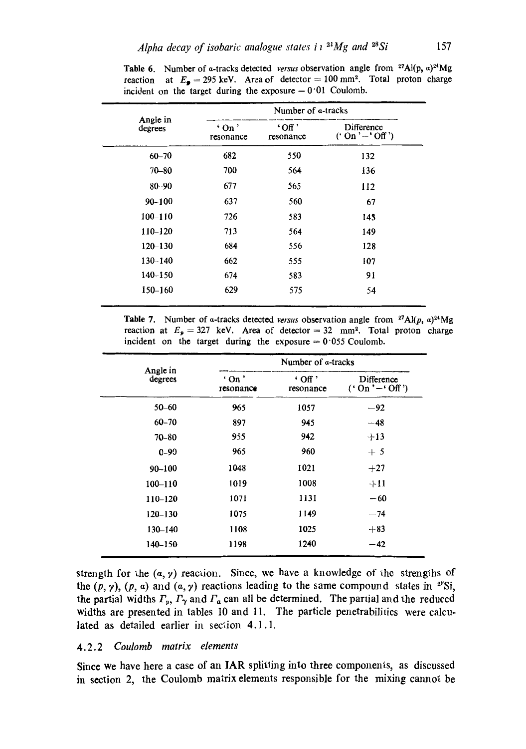|                     | Number of a-tracks                    |                          |                              |  |  |
|---------------------|---------------------------------------|--------------------------|------------------------------|--|--|
| Angle in<br>degrees | $^{\circ}$ On $^{\circ}$<br>resonance | $'$ Off $'$<br>resonance | Difference<br>$('On'-'Off')$ |  |  |
| $60 - 70$           | 682                                   | 550                      | 132                          |  |  |
| 70-80               | 700                                   | 564                      | 136                          |  |  |
| $80 - 90$           | 677                                   | 565                      | 112                          |  |  |
| $90 - 100$          | 637                                   | 560                      | 67                           |  |  |
| $100 - 110$         | 726                                   | 583                      | 145                          |  |  |
| 110-120             | 713                                   | 564                      | 149                          |  |  |
| $120 - 130$         | 684                                   | 556                      | 128                          |  |  |
| $130 - 140$         | 662                                   | 555                      | 107                          |  |  |
| $140 - 150$         | 674                                   | 583                      | 91                           |  |  |
| $150 - 160$         | 629                                   | 575                      | 54                           |  |  |

Table 6. Number of a-tracks detected *versus* observation angle from <sup>27</sup>Al(p,  $\alpha$ )<sup>24</sup>Mg reaction at  $E_{\text{g}} = 295 \text{ keV}$ . Area of detector = 100 mm<sup>2</sup>. Total proton charge incident on the target during the exposure  $= 0.01$  Coulomb.

Table 7. Number of a-tracks detected *versus* observation angle from  $2^7$ Al(p, a) $2^4$ Mg reaction at  $E_p = 327$  keV. Area of detector = 32 mm<sup>2</sup>. Total proton charge incident on the target during the exposure  $= 0.055$  Coulomb.

|                     | Number of a-tracks                    |                                  |                             |  |  |
|---------------------|---------------------------------------|----------------------------------|-----------------------------|--|--|
| Angle in<br>degrees | $^{\circ}$ On $^{\circ}$<br>resonance | $\cdot$ Off $\cdot$<br>resonance | Difference<br>$('On'-'Of')$ |  |  |
| 50-60               | 965                                   | 1057                             | $-92$                       |  |  |
| $60 - 70$           | 897                                   | 945                              | $-48$                       |  |  |
| $70 - 80$           | 955                                   | 942                              | $+13$                       |  |  |
| $0 - 90$            | 965                                   | 960                              | $+5$                        |  |  |
| $90 - 100$          | 1048                                  | 1021                             | $+27$                       |  |  |
| $100 - 110$         | 1019                                  | 1008                             | $+11$                       |  |  |
| 110-120             | 1071                                  | 1131                             | $-60$                       |  |  |
| $120 - 130$         | 1075                                  | 1149                             | $-74$                       |  |  |
| $130 - 140$         | 1108                                  | 1025                             | $+83$                       |  |  |
| 140-150             | 1198                                  | 1240                             | $-42$                       |  |  |

strength for the  $(a, y)$  reaction. Since, we have a knowledge of the strengths of the  $(p, y)$ ,  $(p, a)$  and  $(a, y)$  reactions leading to the same compound states in <sup>28</sup>Si, the partial widths  $\Gamma_p$ ,  $\Gamma_\gamma$  and  $\Gamma_a$  can all be determined. The partial and the reduced widths are presented in tables 10 and 11. The particle penetrabilities were calculated as detailed earlier in section 4.1.1.

## *4.2.2 Coulomb matrix elements*

Since we have here a case of an IAR splitting into three components, as discussed in section 2, the Coulomb matrix elements responsible for the mixing cannot be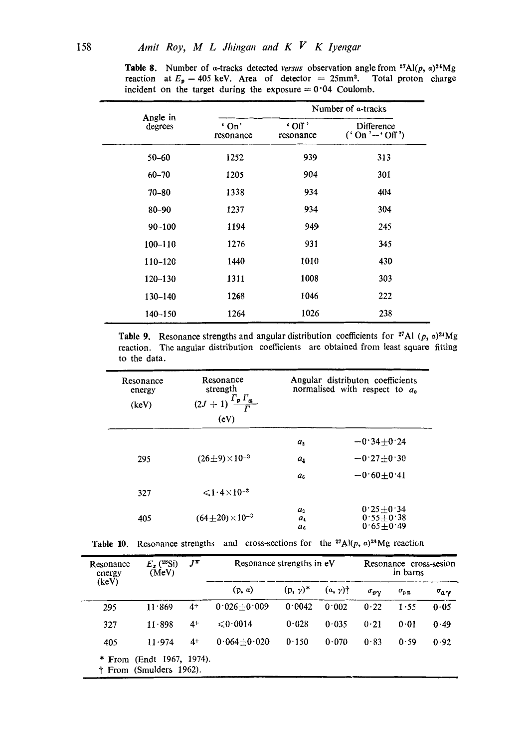|                     |                      |                            | Number of a-tracks          |
|---------------------|----------------------|----------------------------|-----------------------------|
| Angle in<br>degrees | $'$ On'<br>resonance | $\cdot$ Off '<br>resonance | Difference<br>$('On'-'Of')$ |
| $50 - 60$           | 1252                 | 939                        | 313                         |
| $60 - 70$           | 1205                 | 904                        | 301                         |
| 70–80               | 1338                 | 934                        | 404                         |
| $80 - 90$           | 1237                 | 934                        | 304                         |
| 90-100              | 1194                 | 949                        | 245                         |
| $100 - 110$         | 1276                 | 931                        | 345                         |
| 110-120             | 1440                 | 1010                       | 430                         |
| $120 - 130$         | 1311                 | 1008                       | 303                         |
| $130 - 140$         | 1268                 | 1046                       | 222                         |
| $140 - 150$         | 1264                 | 1026                       | 238                         |

**Table 8.** Number of a-tracks detected *versus* observation angle from  $27\text{Al}(p, a)24\text{Mg}$ reaction at  $E_p = 405$  keV. Area of detector = 25mm<sup>2</sup>. Total proton charge incident on the target during the exposure  $= 0.04$  Coulomb.

Table 9. Resonance strengths and angular distribution coefficients for <sup>27</sup>Al (p, a)<sup>24</sup>Mg reaction. The angular distribution coefficients are obtained from least square fitting to the data.

| Resonance<br>energy<br>(keV) | Resonance<br>strength<br>$\Gamma_p \Gamma_a$<br>$(2J + 1)^{4}$<br>(cV) | Angular distributon coefficients<br>normalised with respect to $a_0$ |                                                 |  |
|------------------------------|------------------------------------------------------------------------|----------------------------------------------------------------------|-------------------------------------------------|--|
| 295                          | $(26\pm9)\times10^{-3}$                                                | $a_{2}$<br>$a_1$                                                     | $-0.34 + 0.24$<br>$-0.27 + 0.30$                |  |
|                              |                                                                        | a <sub>6</sub>                                                       | $-0.60 + 0.41$                                  |  |
| 327                          | $\leq 1.4 \times 10^{-3}$                                              |                                                                      |                                                 |  |
| 405                          | $(64 \pm 20) \times 10^{-3}$                                           | a <sub>2</sub><br>$a_4$<br>$a_{\epsilon}$                            | $0.25 + 0.34$<br>$0.55 + 0.38$<br>$0.65 + 0.49$ |  |

|  | <b>Table 10.</b> Resonance strengths and cross-sections for the <sup>27</sup> Al(p, $\alpha$ ) <sup>24</sup> Mg reaction |  |  |  |  |  |  |
|--|--------------------------------------------------------------------------------------------------------------------------|--|--|--|--|--|--|
|--|--------------------------------------------------------------------------------------------------------------------------|--|--|--|--|--|--|

| Resonance<br>energy | $E_x(^{28}\text{Si})$<br>(MeV)                       | $J^{\pi}$ | Resonance strengths in eV |                 |                 | Resonance cross-sesion<br>in barns |                    |                         |
|---------------------|------------------------------------------------------|-----------|---------------------------|-----------------|-----------------|------------------------------------|--------------------|-------------------------|
| (keV)               |                                                      |           | (p, a)                    | $(p, \gamma)^*$ | $(a, \gamma)$ † | $\sigma_{\sigma\gamma}$            | $\sigma_{p\alpha}$ | $\sigma_{\alpha\gamma}$ |
| 295                 | 11.869                                               | $4+$      | $0.026 + 0.009$           | 0.0042          | 0.002           | 0.22                               | 1.55               | 0.05                    |
| 327                 | $11 \cdot 898$                                       | $4+$      | $\leq 0.0014$             | 0.028           | 0.035           | 0.21                               | 0.01               | 0.49                    |
| 405                 | 11.974                                               | $4+$      | $0.064 + 0.020$           | 0.150           | 0.070           | 0.83                               | 0.59               | 0.92                    |
|                     | * From (Endt 1967, 1974).<br>† From (Smulders 1962). |           |                           |                 |                 |                                    |                    |                         |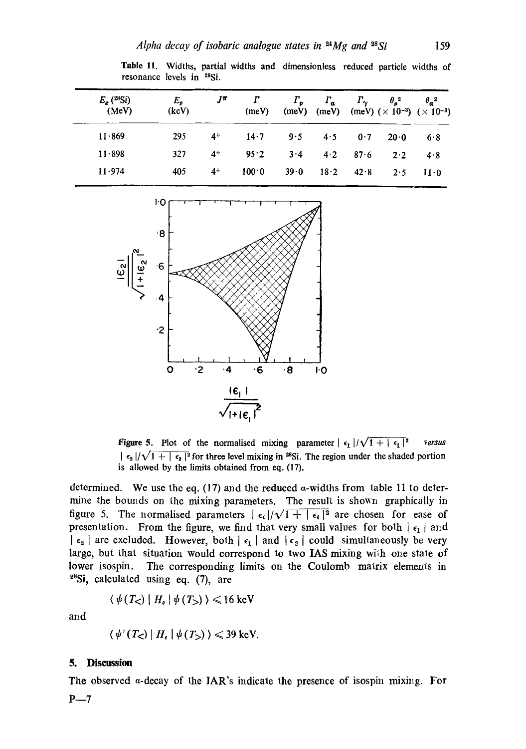Table 11. Widths, partial widths and dimensionless reduced particle widths of

| $E_a$ ( <sup>28</sup> Si)<br>(MeV) | $E_{\boldsymbol{v}}$<br>(key) | Jπ   | (meV) | $\Gamma_{\rm o}$<br>(meV) | $\Gamma_a$ | $\Gamma_{\gamma}$ | $\theta_n^2$<br>(meV) (meV) $(\times 10^{-3})$ $(\times 10^{-3})$ | $\theta_a^2$ |
|------------------------------------|-------------------------------|------|-------|---------------------------|------------|-------------------|-------------------------------------------------------------------|--------------|
| 11.869                             | 295                           | $4+$ | 14.7  | 9.5                       | 4.5        | 0.7               | 20.0                                                              | 6.8          |
| $11 \cdot 898$                     | 327                           | $4+$ | 95.2  | $3 \cdot 4$               | 4.2        | 87.6              | 2.2                                                               | 4.8          |
| 11.974                             | 405                           | $4+$ | 100.0 | 39.0                      | 18.2       | 42.8              | 2.5                                                               | $11 \cdot 0$ |





resonance levels in <sup>28</sup>Si.

Figure 5. Plot of the normalised mixing parameter  $\epsilon_1 / \sqrt{1 + |\epsilon_1|^2}$  *versus*  $\frac{\epsilon_2}{\sqrt{1 + \epsilon_2}^2}$  for three level mixing in <sup>28</sup>Si. The region under the shaded portion is allowed by the limits obtained from eq. (17).

determined. We use the eq. (17) and the reduced  $\alpha$ -widths from table 11 to determine the bounds on the mixing parameters. The result is shown graphically in figure 5. The normalised parameters  $\lceil \epsilon_i \rceil / \sqrt{1 + |\epsilon_i|^2}$  are chosen for ease of presentation. From the figure, we find that very small values for both  $\epsilon_1$  | and  $|\epsilon_2|$  are excluded. However, both  $|\epsilon_1|$  and  $|\epsilon_2|$  could simultaneously be very large, but that situation would correspond to two IAS mixing with one state of lower isospin. The corresponding limits on the Coulomb matrix elements in  $28Si$ , calculated using eq. (7), are

$$
\langle \psi(T_{\leq}) | H_{\delta} | \psi(T_{>}) \rangle \leq 16 \text{ keV}
$$

and

$$
\langle \psi'(T_{\leq}) | H_c | \psi(T_{>}) \rangle \leq 39 \text{ keV}.
$$

### **5. Discussion**

The observed a-decay of the IAR's indicate the presence of isospin mixing. For  $P - 7$